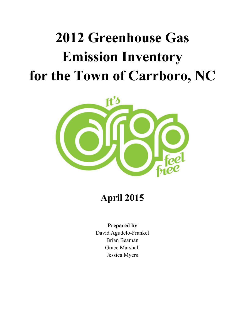# **2012 Greenhouse Gas Emission Inventory for the Town of Carrboro, NC**



**April 2015**

## **Prepared by**

David Agudelo-Frankel Brian Beaman Grace Marshall Jessica Myers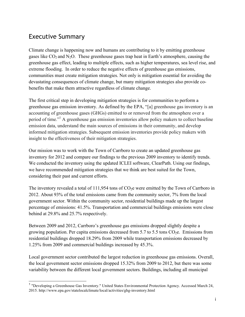## Executive Summary

Climate change is happening now and humans are contributing to it by emitting greenhouse gases like  $CO<sub>2</sub>$  and N<sub>2</sub>O. These greenhouse gases trap heat in Earth's atmosphere, causing the greenhouse gas effect, leading to multiple effects, such as higher temperatures, sea level rise, and extreme flooding. In order to reduce the negative effects of greenhouse gas emissions, communities must create mitigation strategies. Not only is mitigation essential for avoiding the devastating consequences of climate change, but many mitigation strategies also provide cobenefits that make them attractive regardless of climate change.

The first critical step in developing mitigation strategies is for communities to perform a greenhouse gas emission inventory. As defined by the EPA, "[a] greenhouse gas inventory is an accounting of greenhouse gases (GHGs) emitted to or removed from the atmosphere over a period of time."<sup>1</sup> A greenhouse gas emission inventories allow policy makers to collect baseline emission data, understand the main sources of emissions in their community, and develop informed mitigation strategies. Subsequent emission inventories provide policy makers with insight to the effectiveness of their mitigation strategies.

Our mission was to work with the Town of Carrboro to create an updated greenhouse gas inventory for 2012 and compare our findings to the previous 2009 inventory to identify trends. We conducted the inventory using the updated ICLEI software, ClearPath. Using our findings, we have recommended mitigation strategies that we think are best suited for the Town, considering their past and current efforts.

The inventory revealed a total of  $111,954$  tons of  $CO<sub>2</sub>e$  were emitted by the Town of Carrboro in 2012. About 93% of the total emissions came from the community sector, 7% from the local government sector. Within the community sector, residential buildings made up the largest percentage of emissions: 41.5%. Transportation and commercial buildings emissions were close behind at 29.8% and 25.7% respectively.

Between 2009 and 2012, Carrboro's greenhouse gas emissions dropped slightly despite a growing population. Per capita emissions decreased from 5.7 to 5.5 tons  $CO<sub>2</sub>e$ . Emissions from residential buildings dropped 18.29% from 2009 while transportation emissions decreased by 1.25% from 2009 and commercial buildings increased by 45.3%.

Local government sector contributed the largest reduction in greenhouse gas emissions. Overall, the local government sector emissions dropped 15.32% from 2009 to 2012, but there was some variability between the different local government sectors. Buildings, including all municipal

<sup>&</sup>lt;sup>1</sup> "Developing a Greenhouse Gas Inventory." United States Environmental Protection Agency. Accessed March 24, 2015. http://www.epa.gov/statelocalclimate/local/activities/ghg-inventory.html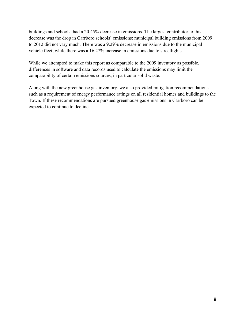buildings and schools, had a 20.45% decrease in emissions. The largest contributor to this decrease was the drop in Carrboro schools' emissions; municipal building emissions from 2009 to 2012 did not vary much. There was a 9.29% decrease in emissions due to the municipal vehicle fleet, while there was a 16.27% increase in emissions due to streetlights.

While we attempted to make this report as comparable to the 2009 inventory as possible, differences in software and data records used to calculate the emissions may limit the comparability of certain emissions sources, in particular solid waste.

Along with the new greenhouse gas inventory, we also provided mitigation recommendations such as a requirement of energy performance ratings on all residential homes and buildings to the Town. If these recommendations are pursued greenhouse gas emissions in Carrboro can be expected to continue to decline.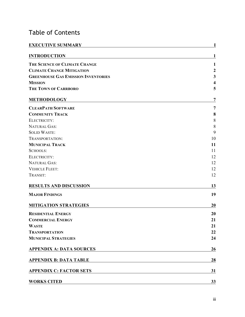# Table of Contents

| <b>EXECUTIVE SUMMARY</b>                   | 1                       |
|--------------------------------------------|-------------------------|
| <b>INTRODUCTION</b>                        | 1                       |
| THE SCIENCE OF CLIMATE CHANGE              | 1                       |
| <b>CLIMATE CHANGE MITIGATION</b>           | $\boldsymbol{2}$        |
| <b>GREENHOUSE GAS EMISSION INVENTORIES</b> | $\mathbf{3}$            |
| <b>MISSION</b>                             | $\overline{\mathbf{4}}$ |
| THE TOWN OF CARRBORO                       | 5                       |
| <b>METHODOLOGY</b>                         | 7                       |
| <b>CLEARPATH SOFTWARE</b>                  | 7                       |
| <b>COMMUNITY TRACK</b>                     | 8                       |
| ELECTRICITY:                               | $8\,$                   |
| <b>NATURAL GAS:</b>                        | 8                       |
| <b>SOLID WASTE:</b>                        | 9                       |
| TRANSPORTATION:                            | 10                      |
| <b>MUNICIPAL TRACK</b>                     | 11                      |
| <b>SCHOOLS:</b>                            | 11                      |
| ELECTRICITY:                               | 12                      |
| <b>NATURAL GAS:</b>                        | 12                      |
| <b>VEHICLE FLEET:</b>                      | 12                      |
| TRANSIT:                                   | 12                      |
| <b>RESULTS AND DISCUSSION</b>              | 13                      |
| <b>MAJOR FINDINGS</b>                      | 19                      |
| <b>MITIGATION STRATEGIES</b>               | 20                      |
| <b>RESIDENTIAL ENERGY</b>                  | 20                      |
| <b>COMMERCIAL ENERGY</b>                   | 21                      |
| <b>WASTE</b>                               | 21                      |
| <b>TRANSPORTATION</b>                      | 22                      |
| <b>MUNICIPAL STRATEGIES</b>                | 24                      |
| <b>APPENDIX A: DATA SOURCES</b>            | 26                      |
| <b>APPENDIX B: DATA TABLE</b>              | 28                      |
| <b>APPENDIX C: FACTOR SETS</b>             | 31                      |
| <b>WORKS CITED</b>                         | 33                      |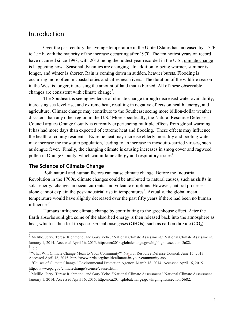## Introduction

Over the past century the average temperature in the United States has increased by 1.3°F to 1.9°F, with the majority of the increase occurring after 1970. The ten hottest years on record have occurred since 1998, with 2012 being the hottest year recorded in the U.S.; climate change is happening now. Seasonal dynamics are changing. In addition to being warmer, summer is longer, and winter is shorter. Rain is coming down in sudden, heavier bursts. Flooding is occurring more often in coastal cities and cities near rivers. The duration of the wildfire season in the West is longer, increasing the amount of land that is burned. All of these observable changes are consistent with climate change<sup>2</sup>.

The Southeast is seeing evidence of climate change through decreased water availability, increasing sea level rise, and extreme heat, resulting in negative effects on health, energy, and agriculture. Climate change may contribute to the Southeast seeing more billion-dollar weather disasters than any other region in the  $U.S.<sup>3</sup>$  More specifically, the Natural Resource Defense Council argues Orange County is currently experiencing multiple effects from global warming. It has had more days than expected of extreme heat and flooding. These effects may influence the health of county residents. Extreme heat may increase elderly mortality and pooling water may increase the mosquito population, leading to an increase in mosquito-carried viruses, such as dengue fever. Finally, the changing climate is causing increases in smog cover and ragweed pollen in Orange County, which can inflame allergy and respiratory issues<sup>4</sup>.

#### **The Science of Climate Change**

 Both natural and human factors can cause climate change. Before the Industrial Revolution in the 1700s, climate changes could be attributed to natural causes, such as shifts in solar energy, changes in ocean currents, and volcanic eruptions. However, natural processes alone cannot explain the post-industrial rise in temperatures<sup>5</sup>. Actually, the global mean temperature would have slightly decreased over the past fifty years if there had been no human influences<sup>6</sup>.

 Humans influence climate change by contributing to the greenhouse effect. After the Earth absorbs sunlight, some of the absorbed energy is then released back into the atmosphere as heat, which is then lost to space. Greenhouse gases (GHGs), such as carbon dioxide  $(CO<sub>2</sub>)$ ,

 <sup>2</sup> Melillo, Jerry, Terese Richmond, and Gary Yohe. "National Climate Assessment." National Climate Assessment. January 1, 2014. Accessed April 16, 2015. http://nca2014.globalchange.gov/highlights#section-5682.  $3$  ibid.

<sup>&</sup>lt;sup>4</sup> "What Will Climate Change Mean to Your Community?" Natural Resource Defense Council. June 15, 2013. Accessed April 16, 2015. http://www.nrdc.org/health/climate-in-your-community.asp.<br><sup>5</sup> "Causes of Climate Change." Environmental Protection Agency. March 18, 2014. Accessed April 16, 2015.

http://www.epa.gov/climatechange/science/causes.html.

<sup>6</sup> Melillo, Jerry, Terese Richmond, and Gary Yohe. "National Climate Assessment." National Climate Assessment. January 1, 2014. Accessed April 16, 2015. http://nca2014.globalchange.gov/highlights#section-5682.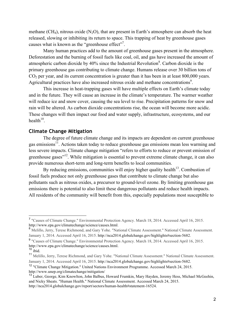methane (CH<sub>4</sub>), nitrous oxide (N<sub>2</sub>O), that are present in Earth's atmosphere can absorb the heat released, slowing or inhibiting its return to space. This trapping of heat by greenhouse gases causes what is known as the "greenhouse effect"<sup>7</sup>.

 Many human practices add to the amount of greenhouse gases present in the atmosphere. Deforestation and the burning of fossil fuels like coal, oil, and gas have increased the amount of atmospheric carbon dioxide by  $40\%$  since the Industrial Revolution<sup>8</sup>. Carbon dioxide is the primary greenhouse gas contributing to climate change. Humans release over 30 billion tons of  $CO<sub>2</sub>$  per year, and its current concentration is greater than it has been in at least 800,000 years. Agricultural practices have also increased nitrous oxide and methane concentrations<sup>9</sup>.

 This increase in heat-trapping gases will have multiple effects on Earth's climate today and in the future. They will cause an increase in the climate's temperature. The warmer weather will reduce ice and snow cover, causing the sea level to rise. Precipitation patterns for snow and rain will be altered. As carbon dioxide concentrations rise, the ocean will become more acidic. These changes will then impact our food and water supply, infrastructure, ecosystems, and our  $health<sup>10</sup>$ 

#### **Climate Change Mitigation**

The degree of future climate change and its impacts are dependent on current greenhouse gas emissions $11$ . Actions taken today to reduce greenhouse gas emissions mean less warming and less severe impacts. Climate change mitigation "refers to efforts to reduce or prevent emission of greenhouse gases<sup> $12$ </sup>. While mitigation is essential to prevent extreme climate change, it can also provide numerous short-term and long-term benefits to local communities.

By reducing emissions, communities will enjoy higher quality health<sup>13</sup>. Combustion of fossil fuels produce not only greenhouse gases that contribute to climate change but also pollutants such as nitrous oxides, a precursor to ground-level ozone. By limiting greenhouse gas emissions there is potential to also limit these dangerous pollutants and reduce health impacts. All residents of the community will benefit from this, especially populations most susceptible to

 <sup>7</sup> "Causes of Climate Change." Environmental Protection Agency. March 18, 2014. Accessed April 16, 2015. http://www.epa.gov/climatechange/science/causes.html.<br><sup>8</sup> Melillo, Jerry, Terese Richmond, and Gary Yohe. "National Climate Assessment." National Climate Assessment.

January 1, 2014. Accessed April 16, 2015. http://nca2014.globalchange.gov/highlights#section-5682.

<sup>9</sup> "Causes of Climate Change." Environmental Protection Agency. March 18, 2014. Accessed April 16, 2015. http://www.epa.gov/climatechange/science/causes.html. <sup>10</sup> ibid.

<sup>11</sup> Melillo, Jerry, Terese Richmond, and Gary Yohe. "National Climate Assessment." National Climate Assessment. January 1, 2014. Accessed April 16, 2015. http://nca2014.globalchange.gov/highlights#section-5682.

<sup>&</sup>lt;sup>12</sup> "Climate Change Mitigation." United Nations Environment Programme. Accessed March 24, 2015. http://www.unep.org/climatechange/mitigation/

<sup>&</sup>lt;sup>13</sup> Luber, George, Kim Knowlton, John Balbus, Howard Frumkin, Mary Hayden, Jeremy Hess, Michael McGeehin, and Nicky Sheats. "Human Health." National Climate Assessment. Accessed March 24, 2015. http://nca2014.globalchange.gov/report/sectors/human-health#statement-16524.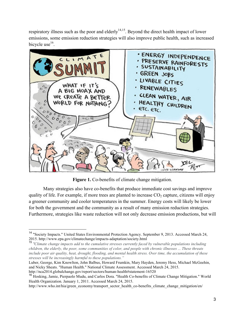respiratory illness such as the poor and elderly<sup>14,15</sup>. Beyond the direct health impact of lower emissions, some emission reduction strategies will also improve public health, such as increased bicycle use $^{16}$ .



**Figure 1.** Co-benefits of climate change mitigation.

Many strategies also have co-benefits that produce immediate cost savings and improve quality of life. For example, if more trees are planted to increase  $CO<sub>2</sub>$  capture, citizens will enjoy a greener community and cooler temperatures in the summer. Energy costs will likely be lower for both the government and the community as a result of many emission reduction strategies. Furthermore, strategies like waste reduction will not only decrease emission productions, but will

Luber, George, Kim Knowlton, John Balbus, Howard Frumkin, Mary Hayden, Jeremy Hess, Michael McGeehin, and Nicky Sheats. "Human Health." National Climate Assessment. Accessed March 24, 2015. http://nca2014.globalchange.gov/report/sectors/human-health#statement-16520

 <sup>14</sup> "Society Impacts." United States Environmental Protection Agency. September 9, 2013. Accessed March 24, 2015. http://www.epa.gov/climatechange/impacts-adaptation/society.html

<sup>15</sup> *"Climate change impacts add to the cumulative stresses currently faced by vulnerable populations including children, the elderly, the poor, some communities of color, and people with chronic illnesses ... These threats include poor air quality, heat, drought, flooding, and mental health stress. Over time, the accumulation of these stresses will be increasingly harmful to these populations."*

<sup>&</sup>lt;sup>16</sup> Hosking, Jamie, Pierpaolo Mudu, and Carlos Dora. "Health Co-benefits of Climate Change Mitigation." World Health Organization. January 1, 2011. Accessed March 24, 2015.

http://www.who.int/hia/green\_economy/transport\_sector\_health\_co-benefits\_climate\_change\_mitigation/en/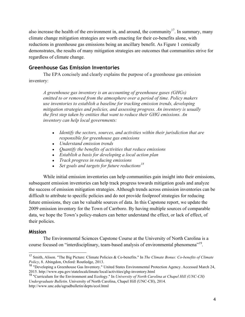also increase the health of the environment in, and around, the community<sup>17</sup>. In summary, many climate change mitigation strategies are worth enacting for their co-benefits alone, with reductions in greenhouse gas emissions being an ancillary benefit. As Figure 1 comically demonstrates, the results of many mitigation strategies are outcomes that communities strive for regardless of climate change.

## **Greenhouse Gas Emission Inventories**

The EPA concisely and clearly explains the purpose of a greenhouse gas emission inventory:

*A greenhouse gas inventory is an accounting of greenhouse gases (GHGs) emitted to or removed from the atmosphere over a period of time. Policy makers use inventories to establish a baseline for tracking emission trends, developing mitigation strategies and policies, and assessing progress. An inventory is usually the first step taken by entities that want to reduce their GHG emissions. An inventory can help local governments:*

- *Identify the sectors, sources, and activities within their jurisdiction that are responsible for greenhouse gas emissions*
- *Understand emission trends*
- *Quantify the benefits of activities that reduce emissions*
- *Establish a basis for developing a local action plan*
- *Track progress in reducing emissions*
- *Set goals and targets for future reductions<sup>18</sup>*

While initial emission inventories can help communities gain insight into their emissions, subsequent emission inventories can help track progress towards mitigation goals and analyze the success of emission mitigation strategies. Although trends across emission inventories can be difficult to attribute to specific policies and do not provide foolproof strategies for reducing future emissions, they can be valuable sources of data. In this Capstone report, we update the 2009 emission inventory for the Town of Carrboro. By having multiple sources of comparable data, we hope the Town's policy-makers can better understand the effect, or lack of effect, of their policies.

## **Mission**

The Environmental Sciences Capstone Course at the University of North Carolina is a course focused on "interdisciplinary, team-based analysis of environmental phenomena"<sup>19</sup>.

 <sup>17</sup> Smith, Alison. "The Big Picture: Climate Policies & Co-benefits." In *The Climate Bonus: Co-benefits of Climate Policy*, 8. Abingdon, Oxford: Routledge, 2013.

<sup>&</sup>lt;sup>18</sup> "Developing a Greenhouse Gas Inventory." United States Environmental Protection Agency. Accessed March 24, 2015. http://www.epa.gov/statelocalclimate/local/activities/ghg-inventory.html

<sup>19</sup> "Curriculum for the Environment and Ecology." In *University of North Carolina at Chapel Hill (UNC-CH) Undergraduate Bulletin*. University of North Carolina, Chapel Hill (UNC-CH), 2014. http://www.unc.edu/ugradbulletin/depts/ecol.html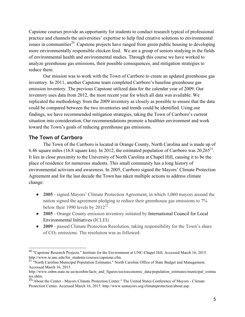Capstone courses provide an opportunity for students to conduct research typical of professional practice and channels the universities' expertise to help find creative solutions to environmental issues in communities<sup>20</sup>. Capstone projects have ranged from green public housing to developing more environmentally responsible chicken feed. We are a group of seniors studying in the fields of environmental health and environmental studies. Through this course we have worked to analyze greenhouse gas emissions, their possible consequences, and mitigation strategies to reduce them.

Our mission was to work with the Town of Carrboro to create an updated greenhouse gas inventory. In 2011, another Capstone team completed Carrboro's baseline greenhouse gas emission inventory. The previous Capstone utilized data for the calendar year of 2009. Our inventory uses data from 2012, the most recent year for which all data was available. We replicated the methodology from the 2009 inventory as closely as possible to ensure that the data could be compared between the two inventories and trends could be identified. Using our findings, we have recommended mitigation strategies, taking the Town of Carrboro's current situation into consideration. Our recommendations promote a healthier environment and work toward the Town's goals of reducing greenhouse gas emissions.

## **The Town of Carrboro**

 The Town of the Carrboro is located in Orange County, North Carolina and is made up of 6.46 square miles (16.8 square km). In 2012, the estimated population of Carrboro was  $20,265^{21}$ . It lies in close proximity to the University of North Carolina at Chapel Hill, causing it to be the place of residence for numerous students. This small community has a long history of environmental activism and awareness. In 2005, Carrboro signed the Mayors' Climate Protection Agreement and for the last decade the Town has taken multiple actions to address climate change:

- **2005** signed Mayors' Climate Protection Agreement, in which 1,060 mayors around the nation signed the agreement pledging to reduce their greenhouse gas emissions to 7% below their 1990 levels by  $2012^{22}$
- **2005** Orange County emission inventory initiated by International Council for Local Environmental Initiatives (ICLEI)
- **2009** passed Climate Protection Resolution, taking responsibility for the Town's share of CO2 emissions. The resolution was as followed:

 <sup>20</sup> "Capstone Research Projects." Institute for the Environment at UNC-Chapel Hill. Accessed March 16, 2015. http://www.ie.unc.edu/for\_students/courses/capstone.cfm.

<sup>&</sup>lt;sup>21</sup> "North Carolina Municipal Population Estimates." North Carolina Office of State Budget and Management. Accessed March 16, 2015.

http://www.osbm.state.nc.us/ncosbm/facts\_and\_figures/socioeconomic\_data/population\_estimates/municipal\_estima tes.shtm.

<sup>&</sup>lt;sup>22</sup>"About the Center - Mayors Climate Protection Center." The United States Conference of Mayors - Climate Protection Center. Accessed March 16, 2015. http://www.usmayors.org/climateprotection/about.asp.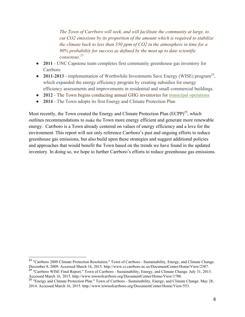*The Town of Carrboro will seek, and will facilitate the community at large, to cut CO2 emissions by its proportion of the amount which is required to stabilize the climate back to less than 350 ppm of CO2 in the atmosphere in time for a 90% probability for success as defined by the most up to date scientific consensus. 23* 

- **2011** UNC Capstone team completes first community greenhouse gas inventory for Carrboro
- **2011-2013** implementation of Worthwhile Investments Save Energy (WISE) program<sup>24</sup>, which expanded the energy efficiency program by creating subsidies for energy efficiency assessments and improvements in residential and small commercial buildings.
- **2012** The Town begins conducting annual GHG inventories for municipal operations
- **2014**  The Town adopts its first Energy and Climate Protection Plan

Most recently, the Town created the Energy and Climate Protection Plan  $(ECPP)^{25}$ , which outlines recommendations to make the Town more energy efficient and generate more renewable energy. Carrboro is a Town already centered on values of energy efficiency and a love for the environment. This report will not only reference Carrboro's past and ongoing efforts to reduce greenhouse gas emissions, but also build upon these strategies and suggest additional policies and approaches that would benefit the Town based on the trends we have found in the updated inventory. In doing so, we hope to further Carrboro's efforts to reduce greenhouse gas emissions.

<sup>&</sup>lt;sup>23</sup> "Carrboro 2009 Climate Protection Resolution." Town of Carrboro - Sustainability, Energy, and Climate Change. December 8, 2009. Accessed March 16, 2015. http://www.ci.carrboro.nc.us/DocumentCenter/Home/View/2387.

<sup>&</sup>lt;sup>24</sup> "Carrboro WISE Final Report." Town of Carrboro - Sustainability, Energy, and Climate Change. July 31, 2013. Accessed March 16, 2015. http://www.townofcarrboro.org/DocumentCenter/Home/View/1788.

<sup>&</sup>lt;sup>25</sup> "Energy and Climate Protection Plan." Town of Carrboro - Sustainability, Energy, and Climate Change. May 28, 2014. Accessed March 16, 2015. http://www.townofcarrboro.org/DocumentCenter/Home/View/553.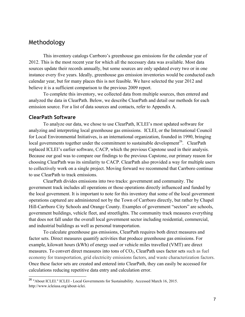## Methodology

This inventory catalogs Carrboro's greenhouse gas emissions for the calendar year of 2012. This is the most recent year for which all the necessary data was available. Most data sources update their records annually, but some sources are only updated every two or in one instance every five years. Ideally, greenhouse gas emission inventories would be conducted each calendar year, but for many places this is not feasible. We have selected the year 2012 and believe it is a sufficient comparison to the previous 2009 report.

To complete this inventory, we collected data from multiple sources, then entered and analyzed the data in ClearPath. Below, we describe ClearPath and detail our methods for each emission source. For a list of data sources and contacts, refer to Appendix A.

## **ClearPath Software**

To analyze our data, we chose to use ClearPath, ICLEI's most updated software for analyzing and interpreting local greenhouse gas emissions. ICLEI, or the International Council for Local Environmental Initiatives, is an international organization, founded in 1990, bringing local governments together under the commitment to sustainable development<sup>26</sup>. ClearPath replaced ICLEI's earlier software, CACP, which the previous Capstone used in their analysis. Because our goal was to compare our findings to the previous Capstone, our primary reason for choosing ClearPath was its similarity to CACP. ClearPath also provided a way for multiple users to collectively work on a single project. Moving forward we recommend that Carrboro continue to use ClearPath to track emissions.

ClearPath divides emissions into two tracks: government and community. The government track includes all operations or those operations directly influenced and funded by the local government. It is important to note for this inventory that some of the local government operations captured are administered not by the Town of Carrboro directly, but rather by Chapel Hill-Carrboro City Schools and Orange County. Examples of government "sectors" are schools, government buildings, vehicle fleet, and streetlights. The community track measures everything that does not fall under the overall local government sector including residential, commercial, and industrial buildings as well as personal transportation.

To calculate greenhouse gas emissions, ClearPath requires both direct measures and factor sets. Direct measures quantify activities that produce greenhouse gas emissions. For example, kilowatt hours (kWh) of energy used or vehicle miles travelled (VMT) are direct measures. To convert direct measures into tons of  $CO<sub>2</sub>$ , ClearPath uses factor sets such as fuel economy for transportation, grid electricity emissions factors, and waste characterization factors. Once these factor sets are created and entered into ClearPath, they can easily be accessed for calculations reducing repetitive data entry and calculation error.

 <sup>26</sup> "About ICLEI." ICLEI - Local Governments for Sustainability. Accessed March 16, 2015. http://www.icleiusa.org/about-iclei.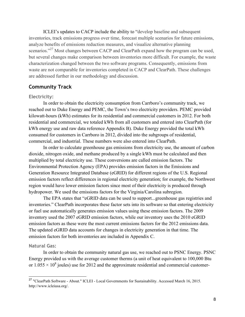ICLEI's updates to CACP include the ability to "develop baseline and subsequent inventories, track emissions progress over time, forecast multiple scenarios for future emissions, analyze benefits of emissions reduction measures, and visualize alternative planning scenarios."<sup>27</sup> Most changes between CACP and ClearPath expand how the program can be used, but several changes make comparison between inventories more difficult. For example, the waste characterization changed between the two software programs. Consequently, emissions from waste are not comparable for inventories completed in CACP and ClearPath. These challenges are addressed further in our methodology and discussion.

## **Community Track**

#### **Electricity:**

In order to obtain the electricity consumption from Carrboro's community track, we reached out to Duke Energy and PEMC, the Town's two electricity providers. PEMC provided kilowatt-hours (kWh) estimates for its residential and commercial customers in 2012. For both residential and commercial, we totaled kWh from all customers and entered into ClearPath (for kWh energy use and raw data reference Appendix B). Duke Energy provided the total kWh consumed for customers in Carrboro in 2012, divided into the subgroups of residential, commercial, and industrial. These numbers were also entered into ClearPath.

In order to calculate greenhouse gas emissions from electricity use, the amount of carbon dioxide, nitrogen oxide, and methane produced by a single kWh must be calculated and then multiplied by total electricity use. These conversions are called emission factors. The Environmental Protection Agency (EPA) provides emission factors in the Emissions and Generation Resource Integrated Database (eGRID) for different regions of the U.S. Regional emission factors reflect differences in regional electricity generation; for example, the Northwest region would have lower emission factors since most of their electricity is produced through hydropower. We used the emissions factors for the Virginia/Carolina subregion.

The EPA states that "eGRID data can be used to support...greenhouse gas registries and inventories." ClearPath incorporates these factor sets into its software so that entering electricity or fuel use automatically generates emission values using these emission factors. The 2009 inventory used the 2007 eGRID emission factors, while our inventory uses the 2010 eGRID emission factors as these were the most current emissions factors for the 2012 emissions data. The updated eGRID data accounts for changes in electricity generation in that time. The emission factors for both inventories are included in Appendix C.

#### **Natural Gas:**

In order to obtain the community natural gas use, we reached out to PSNC Energy. PSNC Energy provided us with the average customer therms (a unit of heat equivalent to 100,000 Btu or  $1.055 \times 10^8$  joules) use for 2012 and the approximate residential and commercial customer-

 <sup>27</sup> "ClearPath Software - About." ICLEI - Local Governments for Sustainability. Accessed March 16, 2015. http://www.icleiusa.org/.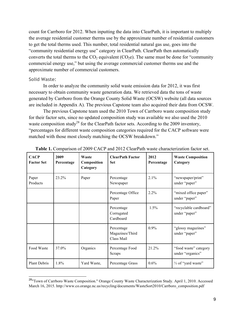count for Carrboro for 2012. When inputting the data into ClearPath, it is important to multiply the average residential customer therms use by the approximate number of residential customers to get the total therms used. This number, total residential natural gas use, goes into the "community residential energy use" category in ClearPath. ClearPath then automatically converts the total therms to the  $CO_2$  equivalent ( $CO_2e$ ). The same must be done for "community" commercial energy use," but using the average commercial customer therms use and the approximate number of commercial customers.

#### **Solid Waste:**

In order to analyze the community solid waste emission data for 2012, it was first necessary to obtain community waste generation data. We retrieved data the tons of waste generated by Carrboro from the Orange County Solid Waste (OCSW) website (all data sources are included in Appendix A). The previous Capstone team also acquired their data from OCSW.

The previous Capstone team used the 2010 Town of Carrboro waste composition study for their factor sets, since no updated composition study was available we also used the 2010 waste composition study<sup>28</sup> for the ClearPath factor sets. According to the 2009 inventory, "percentages for different waste composition categories required for the CACP software were matched with those most closely matching the OCSW breakdown."

| <b>CACP</b><br><b>Factor Set</b> | 2009<br>Percentage | Waste<br>Composition<br>Category | <b>ClearPath Factor</b><br><b>Set</b>       | 2012<br>Percentage | <b>Waste Composition</b><br>Category      |
|----------------------------------|--------------------|----------------------------------|---------------------------------------------|--------------------|-------------------------------------------|
| Paper<br>Products                | 23.2%              | Paper                            | Percentage<br>Newspaper                     | 2.1%               | "newspaper/print"<br>under "paper"        |
|                                  |                    |                                  | Percentage Office<br>Paper                  | 2.2%               | "mixed office paper"<br>under "paper"     |
|                                  |                    |                                  | Percentage<br>Corrugated<br>Cardboard       | 1.5%               | "recyclable cardboard"<br>under "paper"   |
|                                  |                    |                                  | Percentage<br>Magazines/Third<br>Class Mail | $0.9\%$            | "glossy magazines"<br>under "paper"       |
| Food Waste                       | 37.0%              | Organics                         | Percentage Food<br>Scraps                   | 21.2%              | "food waste" category<br>under "organics" |
| <b>Plant Debris</b>              | 1.8%               | Yard Waste,                      | Percentage Grass                            | $0.6\%$            | 1/ <sub>3</sub> of "yard waste"           |

**Table 1.** Comparison of 2009 CACP and 2012 ClearPath waste characterization factor set.

 <sup>28</sup>"Town of Carrboro Waste Composition." Orange County Waste Characterization Study. April 1, 2010. Accessed March 16, 2015. http://www.co.orange.nc.us/recycling/documents/WasteSort2010/Carrboro\_composition.pdf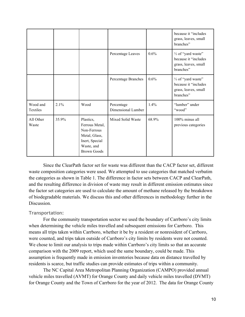|                      |         |                                                                                                                   |                                  |         | because it "includes<br>grass, leaves, small<br>branches"                                    |
|----------------------|---------|-------------------------------------------------------------------------------------------------------------------|----------------------------------|---------|----------------------------------------------------------------------------------------------|
|                      |         |                                                                                                                   | Percentage Leaves                | 0.6%    | $\frac{1}{3}$ of "yard waste"<br>because it "includes"<br>grass, leaves, small<br>branches"  |
|                      |         |                                                                                                                   | Percentage Branches              | $0.6\%$ | 1/ <sub>3</sub> of "yard waste"<br>because it "includes<br>grass, leaves, small<br>branches" |
| Wood and<br>Textiles | $2.1\%$ | Wood                                                                                                              | Percentage<br>Dimensional Lumber | 1.4%    | "lumber" under<br>"wood"                                                                     |
| All Other<br>Waste   | 35.9%   | Plastics,<br>Ferrous Metal,<br>Non-Ferrous<br>Metal, Glass,<br>Inert, Special<br>Waste, and<br><b>Brown Goods</b> | Mixed Solid Waste                | 68.9%   | 100% minus all<br>previous categories                                                        |

Since the ClearPath factor set for waste was different than the CACP factor set, different waste composition categories were used. We attempted to use categories that matched verbatim the categories as shown in Table 1. The difference in factor sets between CACP and ClearPath, and the resulting difference in division of waste may result in different emission estimates since the factor set categories are used to calculate the amount of methane released by the breakdown of biodegradable materials. We discuss this and other differences in methodology further in the Discussion.

#### **Transportation:**

For the community transportation sector we used the boundary of Carrboro's city limits when determining the vehicle miles travelled and subsequent emissions for Carrboro. This means all trips taken within Carrboro, whether it be by a resident or nonresident of Carrboro, were counted, and trips taken outside of Carrboro's city limits by residents were not counted. We chose to limit our analysis to trips made within Carrboro's city limits so that an accurate comparison with the 2009 report, which used the same boundary, could be made. This assumption is frequently made in emission inventories because data on distance travelled by residents is scarce, but traffic studies can provide estimates of trips within a community.

The NC Capital Area Metropolitan Planning Organization (CAMPO) provided annual vehicle miles travelled (AVMT) for Orange County and daily vehicle miles travelled (DVMT) for Orange County and the Town of Carrboro for the year of 2012. The data for Orange County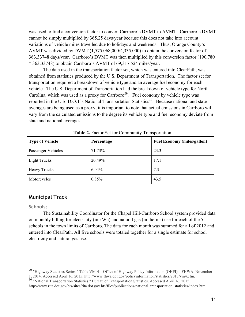was used to find a conversion factor to convert Carrboro's DVMT to AVMT. Carrboro's DVMT cannot be simply multiplied by 365.25 days/year because this does not take into account variations of vehicle miles travelled due to holidays and weekends. Thus, Orange County's AVMT was divided by DVMT (1,575,068,000/4,335,000) to obtain the conversion factor of 363.33748 days/year. Carrboro's DVMT was then multiplied by this conversion factor (190,780 \* 363.33748) to obtain Carrboro's AVMT of 69,317,524 miles/year.

The data used in the transportation factor set, which was entered into ClearPath, was obtained from statistics produced by the U.S. Department of Transportation. The factor set for transportation required a breakdown of vehicle type and an average fuel economy for each vehicle. The U.S. Department of Transportation had the breakdown of vehicle type for North Carolina, which was used as a proxy for Carrboro<sup>29</sup>. Fuel economy by vehicle type was reported in the U.S. D.O.T's National Transportation Statistics<sup>30</sup>. Because national and state averages are being used as a proxy, it is important to note that actual emissions in Carrboro will vary from the calculated emissions to the degree its vehicle type and fuel economy deviate from state and national averages.

| <b>Type of Vehicle</b> | Percentage | <b>Fuel Economy (miles/gallon)</b> |
|------------------------|------------|------------------------------------|
| Passenger Vehicles     | 71.73%     | 23.3                               |
| Light Trucks           | 20.49%     | 17.1                               |
| <b>Heavy Trucks</b>    | 6.04%      | 7.3                                |
| Motorcycles            | 0.85%      | 43.5                               |

**Table 2.** Factor Set for Community Transportation

## **Municipal Track**

#### **Schools:**

The Sustainability Coordinator for the Chapel Hill-Carrboro School system provided data on monthly billing for electricity (in kWh) and natural gas (in therms) use for each of the 5 schools in the town limits of Carrboro. The data for each month was summed for all of 2012 and entered into ClearPath. All five schools were totaled together for a single estimate for school electricity and natural gas use.

 <sup>29</sup> "Highway Statistics Series." Table VM-4 – Office of Highway Policy Information (OHPI) – FHWA. November 1, 2014. Accessed April 16, 2015. http://www.fhwa.dot.gov/policyinformation/statistics/2013/vm4.cfm.

<sup>&</sup>lt;sup>30</sup> "National Transportation Statistics." Bureau of Transportation Statistics. Accessed April 16, 2015. http://www.rita.dot.gov/bts/sites/rita.dot.gov.bts/files/publications/national\_transportation\_statistics/index.html.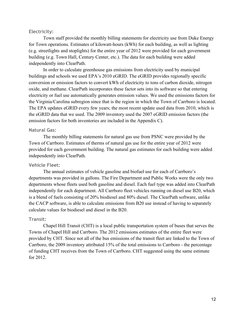#### **Electricity:**

Town staff provided the monthly billing statements for electricity use from Duke Energy for Town operations. Estimates of kilowatt-hours (kWh) for each building, as well as lighting (e.g. streetlights and stoplights) for the entire year of 2012 were provided for each government building (e.g. Town Hall, Century Center, etc.). The data for each building were added independently into ClearPath.

In order to calculate greenhouse gas emissions from electricity used by municipal buildings and schools we used EPA's 2010 eGRID. The eGRID provides regionally specific conversion or emission factors to convert kWh of electricity to tons of carbon dioxide, nitrogen oxide, and methane. ClearPath incorporates these factor sets into its software so that entering electricity or fuel use automatically generates emission values. We used the emissions factors for the Virginia/Carolina subregion since that is the region in which the Town of Carrboro is located. The EPA updates eGRID every few years; the most recent update used data from 2010, which is the eGRID data that we used. The 2009 inventory used the 2007 eGRID emission factors (the emission factors for both inventories are included in the Appendix C).

#### **Natural Gas:**

The monthly billing statements for natural gas use from PSNC were provided by the Town of Carrboro. Estimates of therms of natural gas use for the entire year of 2012 were provided for each government building. The natural gas estimates for each building were added independently into ClearPath.

#### **Vehicle Fleet:**

The annual estimates of vehicle gasoline and biofuel use for each of Carrboro's departments was provided in gallons. The Fire Department and Public Works were the only two departments whose fleets used both gasoline and diesel. Each fuel type was added into ClearPath independently for each department. All Carrboro fleet vehicles running on diesel use B20, which is a blend of fuels consisting of 20% biodiesel and 80% diesel. The ClearPath software, unlike the CACP software, is able to calculate emissions from B20 use instead of having to separately calculate values for biodiesel and diesel in the B20.

#### **Transit:**

Chapel Hill Transit (CHT) is a local public transportation system of buses that serves the Towns of Chapel Hill and Carrboro. The 2012 emissions estimates of the entire fleet were provided by CHT. Since not all of the bus emissions of the transit fleet are linked to the Town of Carrboro, the 2009 inventory attributed 15% of the total emissions to Carrboro - the percentage of funding CHT receives from the Town of Carrboro. CHT suggested using the same estimate for 2012.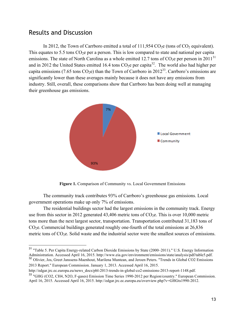## Results and Discussion

In 2012, the Town of Carrboro emitted a total of  $111,954$  CO<sub>2</sub>e (tons of CO<sub>2</sub> equivalent). This equates to 5.5 tons  $CO<sub>2</sub>e$  per a person. This is low compared to state and national per capita emissions. The state of North Carolina as a whole emitted 12.7 tons of  $CO<sub>2</sub>e$  per person in 2011<sup>31</sup> and in 2012 the United States emitted 16.4 tons  $CO<sub>2</sub>e$  per capita<sup>32</sup>. The world also had higher per capita emissions (7.65 tons  $CO<sub>2</sub>e$ ) than the Town of Carrboro in 2012<sup>33</sup>. Carrboro's emissions are significantly lower than these averages mainly because it does not have any emissions from industry. Still, overall, these comparisons show that Carrboro has been doing well at managing their greenhouse gas emissions.



**Figure 1.** Comparison of Community vs. Local Government Emissions

The community track contributes 93% of Carrboro's greenhouse gas emissions. Local government operations make up only 7% of emissions.

The residential buildings sector had the largest emissions in the community track. Energy use from this sector in 2012 generated 43,406 metric tons of  $CO<sub>2</sub>e$ . This is over 10,000 metric tons more than the next largest sector, transportation. Transportation contributed 31,183 tons of  $CO<sub>2</sub>e$ . Commercial buildings generated roughly one-fourth of the total emissions at  $26,836$ metric tons of  $CO<sub>2</sub>e$ . Solid waste and the industrial sector were the smallest sources of emissions.

Administration. Accessed April 16, 2015. http://www.eia.gov/environment/emissions/state/analysis/pdf/table-5.pdf. 32 Olivier, Jos, Greet Janssens-Maenhout, Marilena Muntean, and Jeroen Peters. "Trends in Global CO2 Emissio 2013 Report." European Commission. January 1, 2013. Accessed April 16, 2015.

http://edgar.jrc.ec.europa.eu/news\_docs/pbl-2013-trends-in-global-co2-emissions-2013-report-1148.pdf. <sup>33</sup> "GHG (CO2, CH4, N2O, F-gases) Emission Time Series 1990-2012 per Region/country." European Commission. April 16, 2015. Accessed April 16, 2015. http://edgar.jrc.ec.europa.eu/overview.php?v=GHGts1990-2012.

<sup>&</sup>lt;sup>31</sup> "Table 5. Per Capita Energy-related Carbon Dioxide Emissions by State (2000–2011)." U.S. Energy Information<br>Administration. Accessed April 16, 2015. http://www.eia.gov/environment/emissions/state/analysis/pdf/table5.p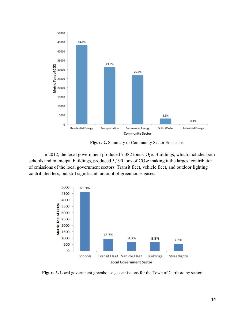

**Figure 2.** Summary of Community Sector Emissions

In 2012, the local government produced  $7,382$  tons  $CO<sub>2</sub>e$ . Buildings, which includes both schools and municipal buildings, produced  $5,190$  tons of  $CO<sub>2</sub>e$  making it the largest contributor of emissions of the local government sectors. Transit fleet, vehicle fleet, and outdoor lighting contributed less, but still significant, amount of greenhouse gases.



**Figure 3.** Local government greenhouse gas emissions for the Town of Carrboro by sector.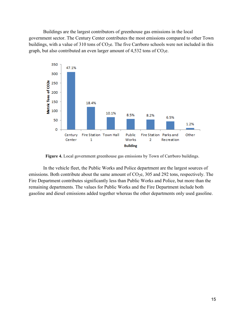Buildings are the largest contributors of greenhouse gas emissions in the local government sector. The Century Center contributes the most emissions compared to other Town buildings, with a value of 310 tons of  $CO<sub>2</sub>e$ . The five Carrboro schools were not included in this graph, but also contributed an even larger amount of  $4,532$  tons of  $CO<sub>2</sub>e$ .



**Figure 4.** Local government greenhouse gas emissions by Town of Carrboro buildings.

In the vehicle fleet, the Public Works and Police department are the largest sources of emissions. Both contribute about the same amount of  $CO<sub>2</sub>e$ , 305 and 292 tons, respectively. The Fire Department contributes significantly less than Public Works and Police, but more than the remaining departments. The values for Public Works and the Fire Department include both gasoline and diesel emissions added together whereas the other departments only used gasoline.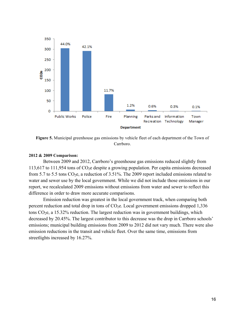

**Figure 5.** Municipal greenhouse gas emissions by vehicle fleet of each department of the Town of Carrboro.

#### **2012 & 2009 Comparison:**

Between 2009 and 2012, Carrboro's greenhouse gas emissions reduced slightly from 113,617 to 111,954 tons of  $CO<sub>2</sub>e$  despite a growing population. Per capita emissions decreased from 5.7 to 5.5 tons  $CO<sub>2</sub>e$ , a reduction of 3.51%. The 2009 report included emissions related to water and sewer use by the local government. While we did not include those emissions in our report, we recalculated 2009 emissions without emissions from water and sewer to reflect this difference in order to draw more accurate comparisons.

Emission reduction was greatest in the local government track, when comparing both percent reduction and total drop in tons of  $CO<sub>2</sub>e$ . Local government emissions dropped 1,336 tons  $CO<sub>2</sub>e$ , a 15.32% reduction. The largest reduction was in government buildings, which decreased by 20.45%. The largest contributor to this decrease was the drop in Carrboro schools' emissions; municipal building emissions from 2009 to 2012 did not vary much. There were also emission reductions in the transit and vehicle fleet. Over the same time, emissions from streetlights increased by 16.27%.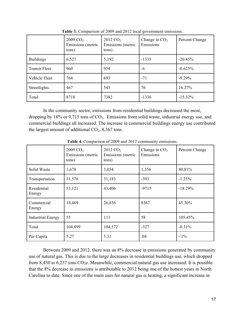|                      | $2009 \text{ CO}_2$<br>Emissions (metric<br>tons) | 2012 CO <sub>2</sub><br>Emissions (metric<br>tons) | Change in $CO2$<br>Emissions | Percent Change |
|----------------------|---------------------------------------------------|----------------------------------------------------|------------------------------|----------------|
| <b>Buildings</b>     | 6,527                                             | 5,192                                              | $-1335$                      | $-20.45%$      |
| <b>Transit Fleet</b> | 960                                               | 954                                                | -6                           | $-0.625%$      |
| Vehicle Fleet        | 764                                               | 693                                                | $-71$                        | $-9.29%$       |
| Streetlights         | 467                                               | 543                                                | 76                           | 16.27%         |
| Total                | 8718                                              | 7382                                               | $-1336$                      | $-15.32\%$     |

**Table 3.** Comparison of 2009 and 2012 local government emissions.

In the community sector, emissions from residential buildings decreased the most, dropping by 18% or 9,715 tons of  $CO<sub>2</sub>$ . Emissions from solid waste, industrial energy use, and commercial buildings all increased. The increase in commercial buildings energy use contributed the largest amount of additional  $CO<sub>2</sub>$ , 8,367 tons.

|                          | $2009$ CO <sub>2</sub><br>Emissions (metric<br>tons) | $2012 \text{ CO}_2$<br>Emissions (metric<br>tons) | Change in $CO2$<br>Emissions | Percent Change |
|--------------------------|------------------------------------------------------|---------------------------------------------------|------------------------------|----------------|
| Solid Waste              | 1,678                                                | 3,034                                             | 1,356                        | 80.81%         |
| Transportation           | 31,576                                               | 31,183                                            | $-393$                       | $-1.25%$       |
| Residential<br>Energy    | 53,121                                               | 43,406                                            | $-9715$                      | $-18.29%$      |
| Commercial<br>Energy     | 18,469                                               | 26,836                                            | 8367                         | 45.30%         |
| <b>Industrial Energy</b> | 55                                                   | 113                                               | 58                           | 105.45%        |
| Total                    | 104,899                                              | 104,572                                           | $-327$                       | $-0.31%$       |
| Per Capita               | 5.27                                                 | 5.31                                              | .04                          | $<1\%$         |

**Table 4.** Comparison of 2009 and 2012 community emissions.

Between 2009 and 2012, there was an 8% decrease in emissions generated by community use of natural gas. This is due to the large decreases in residential buildings use, which dropped from 8,430 to 6,237 tons  $CO<sub>2</sub>e$ . Meanwhile, commercial natural gas use increased. It is possible that the 8% decrease in emissions is attributable to 2012 being one of the hottest years in North Carolina to date. Since one of the main uses for natural gas is heating, a significant increase in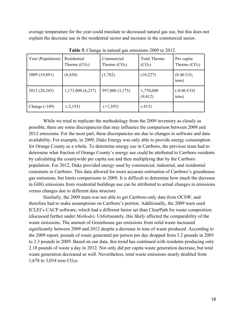average temperature for the year could translate to decreased natural gas use, but this does not explain the decrease use in the residential sector and increase in the commercial sector.

| Year (Population) | Residential<br>Therms $(CO2)$ | Commercial<br>Therms $(CO2)$ | <b>Total Therms</b><br>(CO <sub>2</sub> ) | Per capita<br>Therms $(CO2)$   |
|-------------------|-------------------------------|------------------------------|-------------------------------------------|--------------------------------|
| 2009 (19,891)     | (8, 430)                      | (1,782)                      | (10,227)                                  | $(0.46 \text{ CO}_2)$<br>tons) |
| 2012 (20,265)     | 1,173,000(6,237)              | 597,000 (3,175)              | 1,770,000<br>(9, 412)                     | $(-0.06 \text{ CO2})$<br>tons) |
| Change $(-189)$   | $(-2, 193)$                   | $(+1, 393)$                  | $(-815)$                                  |                                |

**Table 5.** Change in natural gas emissions 2009 to 2012.

While we tried to replicate the methodology from the 2009 inventory as closely as possible, there are some discrepancies that may influence the comparison between 2009 and 2012 emissions. For the most part, these discrepancies are due to changes in software and data availability. For example, in 2009, Duke Energy was only able to provide energy consumption for Orange County as a whole. To determine energy use in Carrboro, the previous team had to determine what fraction of Orange County's energy use could be attributed to Carrboro residents by calculating the countywide per capita use and then multiplying that by the Carrboro population. For 2012, Duke provided energy used by commercial, industrial, and residential customers in Carrboro. This data allowed for more accurate estimation of Carrboro's greenhouse gas emissions, but limits comparisons to 2009. It is difficult to determine how much the decrease in GHG emissions from residential buildings use can be attributed to actual changes in emissions versus changes due to different data structure.

Similarly, the 2009 team was not able to get Carrboro-only data from OCSW, and therefore had to make assumptions on Carrboro's portion. Additionally, the 2009 team used ICLEI's CACP software, which had a different factor set than ClearPath for waste composition (discussed further under *Methods*). Unfortunately, this likely affected the comparability of the waste emissions. The amount of Greenhouse gas emissions from solid waste increased significantly between 2009 and 2012 despite a decrease in tons of waste produced. According to the 2009 report, pounds of waste generated per person per day dropped from 3.2 pounds in 2005 to 2.3 pounds in 2009. Based on our data, this trend has continued with residents producing only 2.18 pounds of waste a day in 2012. Not only did per capita waste generation decrease, but total waste generation decreased as well. Nevertheless, total waste emissions nearly doubled from 1,678 to 3,034 tons  $CO<sub>2</sub>e$ .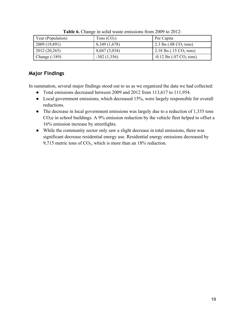| Year (Population) | Tons $(CO2)$  | Per Capita                                    |
|-------------------|---------------|-----------------------------------------------|
| 2009 (19,891)     | 8,349 (1,678) | 2.3 lbs $(.08 \text{ CO}_2 \text{ tons})$     |
| 2012 (20,265)     | 8,047 (3,034) | 2.18 lbs $(.15 \text{ CO}_2 \text{ tons})$    |
| Change $(-189)$   | $-302(1,356)$ | $-0.12$ lbs $(.07 \text{ CO}_2 \text{ tons})$ |

**Table 6.** Change in solid waste emissions from 2009 to 2012:

## **Major Findings**

In summation, several major findings stood out to us as we organized the data we had collected:

- Total emissions decreased between 2009 and 2012 from 113,617 to 111,954.
- Local government emissions, which decreased 15%, were largely responsible for overall reductions.
- The decrease in local government emissions was largely due to a reduction of 1,335 tons  $CO<sub>2</sub>e$  in school buildings. A 9% emission reduction by the vehicle fleet helped to offset a 16% emission increase by streetlights.
- While the community sector only saw a slight decrease in total emissions, there was significant decrease residential energy use. Residential energy emissions decreased by 9,715 metric tons of CO<sub>2</sub>, which is more than an 18% reduction.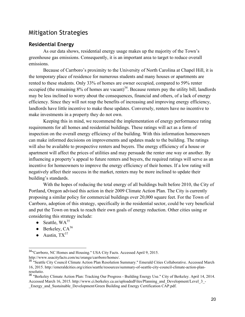## Mitigation Strategies

#### **Residential Energy**

As our data shows, residential energy usage makes up the majority of the Town's greenhouse gas emissions. Consequently, it is an important area to target to reduce overall emissions.

Because of Carrboro's proximity to the University of North Carolina at Chapel Hill, it is the temporary place of residence for numerous students and many houses or apartments are rented to these students. Only 33% of homes are owner occupied, compared to 59% renter occupied (the remaining  $8\%$  of homes are vacant)<sup>34</sup>. Because renters pay the utility bill, landlords may be less inclined to worry about the consequences, financial and others, of a lack of energy efficiency. Since they will not reap the benefits of increasing and improving energy efficiency, landlords have little incentive to make these updates. Conversely, renters have no incentive to make investments in a property they do not own.

Keeping this in mind, we recommend the implementation of energy performance rating requirements for all homes and residential buildings. These ratings will act as a form of inspection on the overall energy efficiency of the building. With this information homeowners can make informed decisions on improvements and updates made to the building. The ratings will also be available to prospective renters and buyers. The energy efficiency of a house or apartment will affect the prices of utilities and may persuade the renter one way or another. By influencing a property's appeal to future renters and buyers, the required ratings will serve as an incentive for homeowners to improve the energy efficiency of their homes. If a low rating will negatively affect their success in the market, renters may be more inclined to update their building's standards.

With the hopes of reducing the total energy of all buildings built before 2010, the City of Portland, Oregon advised this action in their 2009 Climate Action Plan. The City is currently proposing a similar policy for commercial buildings over 20,000 square feet. For the Town of Carrboro, adoption of this strategy, specifically in the residential sector, could be very beneficial and put the Town on track to reach their own goals of energy reduction. Other cities using or considering this strategy include:

- Seattle,  $WA^{35}$
- $\bullet$  Berkeley,  $CA^{36}$
- Austin,  $TX^{37}$

 <sup>34</sup>"Carrboro, NC Homes and Housing." USA City Facts. Accessed April 9, 2015. http://www.usacityfacts.com/nc/orange/carrboro/homes/.

<sup>&</sup>lt;sup>35</sup> "Seattle City Council Climate Action Plan Resolution Summary." Emerald Cities Collaborative. Accessed March 16, 2015. http://emeraldcities.org/cities/seattle/resources/summary-of-seattle-city-council-climate-action-planresolutio.

<sup>36</sup> "Berkeley Climate Action Plan: Tracking Our Progress - Building Energy Use." City of Berkeley. April 14, 2014. Accessed March 16, 2015. http://www.ci.berkeley.ca.us/uploadedFiles/Planning\_and\_Development/Level\_3\_-Energy\_and\_Sustainable\_Development/Green Building and Energy Certification CAP.pdf.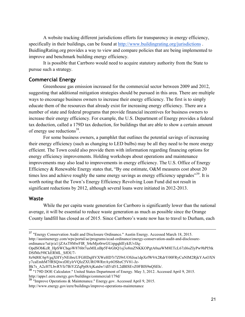A website tracking different jurisdictions efforts for transparency in energy efficiency, specifically in their buildings, can be found at http://www.buildingrating.org/jurisdictions. BuidlingRating.org provides a way to view and compare policies that are being implemented to improve and benchmark building energy efficiency.

It is possible that Carrboro would need to acquire statutory authority from the State to pursue such a strategy.

## **Commercial Energy**

Greenhouse gas emission increased for the commercial sector between 2009 and 2012, suggesting that additional mitigation strategies should be pursued in this area. There are multiple ways to encourage business owners to increase their energy efficiency. The first is to simply educate them of the resources that already exist for increasing energy efficiency. There are a number of state and federal programs that provide financial incentives for business owners to increase their energy efficiency. For example, the U.S. Department of Energy provides a federal tax deduction, called a 179D tax deduction, for buildings that are able to show a certain amount of energy use reductions<sup>38</sup>.

For some business owners, a pamphlet that outlines the potential savings of increasing their energy efficiency (such as changing to LED bulbs) may be all they need to be more energy efficient. The Town could also provide them with information regarding financing options for energy efficiency improvements. Holding workshops about operations and maintenance improvements may also lead to improvements in energy efficiency. The U.S. Office of Energy Efficiency & Renewable Energy states that, "By one estimate, O&M measures cost about 20 times less and achieve roughly the same energy savings as energy efficiency upgrades<sup>339</sup>. It is worth noting that the Town's Energy Efficiency Revolving Loan Fund did not result in significant reductions by 2012, although several loans were initiated in 2012-2013.

#### **Waste**

While the per capita waste generation for Carrboro is significantly lower than the national average, it will be essential to reduce waste generation as much as possible since the Orange County landfill has closed as of 2015. Since Carrboro's waste now has to travel to Durham, each

 <sup>37</sup> "Energy Conservation Audit and Disclosure Ordinance." Austin Energy. Accessed March 18, 2015. http://austinenergy.com/wps/portal/ae/programs/ecad-ordinance/energy-conservation-audit-and-disclosureordinance/!ut/p/a1/jZAxT8MwFIR\_S4eMjo0rwGUzpgqhlEykIUvlJq-

OpdSObKcR\_HpSWChqoW876bt7usMlLnBp5F4rGbQ1sj3o8mZNKKOPgtA0uaWM8ETcL67zl6sZIyPw9hPI5tk DSfMs59lCkERML\_SfOU7-

<sup>8</sup>z9d8IC6pVgqXHYyNEibrcUFGHDqHVXWeHD7r7ZI9rUOSJoa1dpXrfW9A2RdrY00FRyCuNlM2RjkYAsOXN y7caEmhM7fRSQiwzDEylrVQlzZXUROWRrrAy6OSbzC5V81-Jz-

Bk7s\_A2cH7LbvRYfz7BiYZZqPpl8AjKatdw!/dl5/d5/L2dBISEvZ0FBIS9nQSEh/.

<sup>&</sup>lt;sup>38</sup> "179D DOE Calculator." United States Department of Energy. May 3, 2012. Accessed April 9, 2015. http://apps1.eere.energy.gov/buildings/commercial/179d/

<sup>39</sup> "Improve Operations & Maintenance." Energy.gov. Accessed April 9, 2015. http://www.energy.gov/eere/buildings/improve-operations-maintenance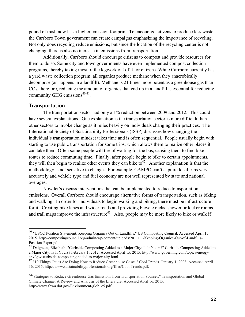pound of trash now has a higher emission footprint. To encourage citizens to produce less waste, the Carrboro Town government can create campaigns emphasizing the importance of recycling. Not only does recycling reduce emissions, but since the location of the recycling center is not changing, there is also no increase in emissions from transportation.

Additionally, Carrboro should encourage citizens to compost and provide resources for them to do so. Some city and town governments have even implemented compost collection programs, thereby taking most of the legwork out of it for citizens. While Carrboro currently has a yard waste collection program, all organics produce methane when they anaerobically decompose (as happens in a landfill). Methane is 21 times more potent as a greenhouse gas than  $CO<sub>2</sub>$ , therefore, reducing the amount of organics that end up in a landfill is essential for reducing community GHG emissions<sup> $40,41$ </sup>.

#### **Transportation**

The transportation sector had only a 1% reduction between 2009 and 2012. This could have several explanations. One explanation is the transportation sector is more difficult than other sectors to invoke change as it relies heavily on individuals changing their practices. The International Society of Sustainability Professionals (ISSP) discusses how changing the individual's transportation mindset takes time and is often sequential. People usually begin with starting to use public transportation for some trips, which allows them to realize other places it can take them. Often some people will tire of waiting for the bus, causing them to find bike routes to reduce commuting time. Finally, after people begin to bike to certain appointments, they will then begin to realize other events they can bike to<sup>42</sup>. Another explanation is that the methodology is not sensitive to changes. For example, CAMPO can't capture local trips very accurately and vehicle type and fuel economy are not well represented by state and national averages.

Now let's discuss interventions that can be implemented to reduce transportation emissions. Overall Carrboro should encourage alternative forms of transportation, such as biking and walking. In order for individuals to begin walking and biking, there must be infrastructure for it. Creating bike lanes and wider roads and providing bicycle racks, shower or locker rooms, and trail maps improve the infrastructure<sup>43</sup>. Also, people may be more likely to bike or walk if

 <sup>40</sup> "USCC Position Statement: Keeping Organics Out of Landfills." US Composting Council. Accessed April 15, 2015. http://compostingcouncil.org/admin/wp-content/uploads/2011/11/Keeping-Organics-Out-of-Landfills-Position-Paper.pdf

<sup>41</sup> Daigneau, Elizabeth. "Curbside Composting Added to a Major City: Is It Yours?" Curbside Composting Added to a Major City: Is It Yours? February 1, 2012. Accessed April 15, 2015. http://www.governing.com/topics/energyenv/gov-curbside-composting-added-to-major-city.html.

<sup>&</sup>lt;sup>42</sup> "10 Things Cities Are Doing Now to Reduce Greenhouse Gases." Cool Trends. January 1, 2008. Accessed April 16, 2015. http://www.sustainabilityprofessionals.org/files/Cool Trends.pdf.

<sup>43&</sup>quot;Strategies to Reduce Greenhouse Gas Emissions from Transportation Sources." Transportation and Global Climate Change: A Review and Analysis of the Literature. Accessed April 16, 2015. http://www.fhwa.dot.gov/Environment/glob\_c5.pdf.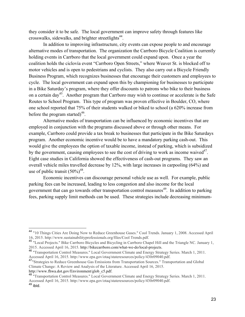they consider it to be safe. The local government can improve safety through features like crosswalks, sidewalks, and brighter streetlights $44$ .

In addition to improving infrastructure, city events can expose people to and encourage alternative modes of transportation. The organization the Carrboro Bicycle Coalition is currently holding events in Carrboro that the local government could expand upon. Once a year the coalition holds the ciclovía event "Carrboro Open Streets," where Weaver St. is blocked off to motor vehicles and is open to pedestrians and cyclists. They also carry out a Bicycle Friendly Business Program, which recognizes businesses that encourage their customers and employees to cycle. The local government can expand upon this by championing for businesses to participate in a Bike Saturday's program, where they offer discounts to patrons who bike to their business on a certain day<sup>45</sup>. Another program that Carrboro may wish to continue or accelerate is the Safe Routes to School Program. This type of program was proven effective in Boulder, CO, where one school reported that 75% of their students walked or biked to school (a 620% increase from before the program started)<sup>46</sup>.

Alternative modes of transportation can be influenced by economic incentives that are employed in conjunction with the programs discussed above or through other means. For example, Carrboro could provide a tax break to businesses that participate in the Bike Saturdays program. Another economic incentive would be to have a mandatory parking cash-out. This would give the employees the option of taxable income, instead of parking, which is subsidized by the government, causing employees to see the cost of driving to work as income waived<sup>47</sup>. Eight case studies in California showed the effectiveness of cash-out programs. They saw an overall vehicle miles travelled decrease by 12%, with large increases in carpooling (64%) and use of public transit  $(50\%)^{48}$ .

Economic incentives can discourage personal vehicle use as well. For example, public parking fees can be increased, leading to less congestion and also income for the local government that can go towards other transportation control measures<sup>49</sup>. In addition to parking fees, parking supply limit methods can be used. These strategies include decreasing minimum-

 <sup>44</sup> "10 Things Cities Are Doing Now to Reduce Greenhouse Gases." Cool Trends. January 1, 2008. Accessed April 16, 2015. http://www.sustainabilityprofessionals.org/files/Cool Trends.pdf.

<sup>&</sup>lt;sup>45</sup> "Local Projects." Bike Carrboro Bicycles and Bicycling in Carrboro Chapel Hill and the Triangle NC. January 1,<br>2015. Accessed April 16, 2015. http://bikecarrboro.com/what-we-do/local-projects.

<sup>26 &</sup>quot;Transportation Control Measures." Local Government Climate and Energy Strategy Series. March 1, 2011. Accessed April 16, 2015. http://www.epa.gov/otaq/stateresources/policy/430r09040.pdf.

<sup>&</sup>lt;sup>47</sup>"Strategies to Reduce Greenhouse Gas Emissions from Transportation Sources." Transportation and Global Climate Change: A Review and Analysis of the Literature. Accessed April 16, 2015.<br>http://www.fhwa.dot.gov/Environment/glob c5.pdf.

<sup>&</sup>lt;sup>48</sup> "Transportation Control Measures." Local Government Climate and Energy Strategy Series. March 1, 2011. Accessed April 16, 2015. http://www.epa.gov/otaq/stateresources/policy/430r09040.pdf. <sup>49</sup> ibid.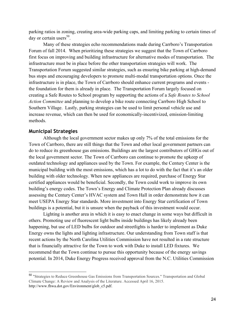parking ratios in zoning, creating area-wide parking caps, and limiting parking to certain times of day or certain users $50$ .

Many of these strategies echo recommendations made during Carrboro's Transportation Forum of fall 2014. When prioritizing these strategies we suggest that the Town of Carrboro first focus on improving and building infrastructure for alternative modes of transportation. The infrastructure must be in place before the other transportation strategies will work. The Transportation Forum suggested similar strategies, such as ensuring bike parking at high-demand bus stops and encouraging developers to promote multi-modal transportation options. Once the infrastructure is in place, the Town of Carrboro should enhance current programs and events the foundation for them is already in place. The Transportation Forum largely focused on creating a Safe Routes to School program by supporting the actions of a *Safe Routes to School Action Committee* and planning to develop a bike route connecting Carrboro High School to Southern Village. Lastly, parking strategies can be used to limit personal vehicle use and increase revenue, which can then be used for economically-incentivized, emission-limiting methods.

#### **Municipal Strategies**

Although the local government sector makes up only 7% of the total emissions for the Town of Carrboro, there are still things that the Town and other local government partners can do to reduce its greenhouse gas emissions. Buildings are the largest contributors of GHGs out of the local government sector. The Town of Carrboro can continue to promote the upkeep of outdated technology and appliances used by the Town. For example, the Century Center is the municipal building with the most emissions, which has a lot to do with the fact that it's an older building with older technology. When new appliances are required, purchase of Energy Star certified appliances would be beneficial. Secondly, the Town could work to improve its own building's energy codes. The Town's Energy and Climate Protection Plan already discusses assessing the Century Center's HVAC system and Town Hall in order demonstrate how it can meet USEPA Energy Star standards. More investment into Energy Star certification of Town buildings is a potential, but it is unsure when the payback of this investment would occur.

Lighting is another area in which it is easy to enact change in some ways but difficult in others. Promoting use of fluorescent light bulbs inside buildings has likely already been happening, but use of LED bulbs for outdoor and streetlights is harder to implement as Duke Energy owns the lights and lighting infrastructure. Our understanding from Town staff is that recent actions by the North Carolina Utilities Commission have not resulted in a rate structure that is financially attractive for the Town to work with Duke to install LED fixtures. We recommend that the Town continue to pursue this opportunity because of the energy savings potential. In 2014, Duke Energy Progress received approval from the N.C. Utilities Commission

 <sup>50</sup> "Strategies to Reduce Greenhouse Gas Emissions from Transportation Sources." Transportation and Global Climate Change: A Review and Analysis of the Literature. Accessed April 16, 2015. http://www.fhwa.dot.gov/Environment/glob\_c5.pdf.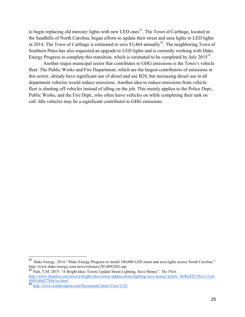to begin replacing old mercury lights with new LED ones<sup>51</sup>. The Town of Carthage, located in the Sandhills of North Carolina, began efforts to update their street and area lights to LED lights in 2014. The Town of Carthage is estimated to save \$3,464 annually<sup>52</sup>. The neighboring Town of Southern Pines has also requested an upgrade to LED lights and is currently working with Duke Energy Progress to complete this transition, which is estimated to be completed by July 2015<sup>53</sup>.

Another major municipal sector that contributes to GHG emissions is the Town's vehicle fleet. The Public Works and Fire Department, which are the largest contributors of emissions in this sector, already have significant use of diesel and use B20, but increasing diesel use in all department vehicles would reduce emissions. Another idea to reduce emissions from vehicle fleet is shutting off vehicles instead of idling on the job. This mainly applies to the Police Dept., Public Works, and the Fire Dept., who often leave vehicles on while completing their task on call. Idle vehicles may be a significant contributor to GHG emissions.

 <sup>51</sup> Duke Energy. 2014. "Duke Energy Progress to install 100,000 LED street and area lights across North Carolina." http://www.duke-energy.com/news/releases/2014092202.asp

<sup>52</sup> Natt, T.M. 2015. "A Bright Idea: Towns Update Street Lighting, Save Money". *The Pilot*. http://www.thepilot.com/news/a-bright-idea-towns-update-street-lighting-save-money/article\_9696c852-95c3-11e4-80f4-dfa02784e1ee.html

<sup>53</sup> http://www.southernpines.net/DocumentCenter/View/2102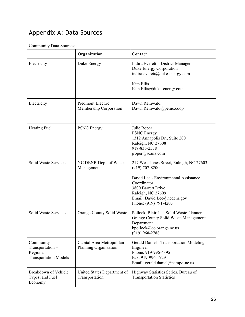# Appendix A: Data Sources

## Community Data Sources:

|                                                                          | Organization                                       | Contact                                                                                                                                                                                                              |
|--------------------------------------------------------------------------|----------------------------------------------------|----------------------------------------------------------------------------------------------------------------------------------------------------------------------------------------------------------------------|
| Electricity                                                              | Duke Energy                                        | Indira Everett – District Manager<br>Duke Energy Corporation<br>indira.everett@duke-energy.com<br>Kim Ellis<br>Kim.Ellis@duke-energy.com                                                                             |
|                                                                          |                                                    |                                                                                                                                                                                                                      |
| Electricity                                                              | Piedmont Electric<br>Membership Corporation        | Dawn Reinwald<br>Dawn.Reinwald@pemc.coop                                                                                                                                                                             |
| <b>Heating Fuel</b>                                                      | <b>PSNC</b> Energy                                 | Julie Roper<br>PSNC Energy<br>1312 Annapolis Dr., Suite 200<br>Raleigh, NC 27608<br>919-836-2338<br>jroper@scana.com                                                                                                 |
| Solid Waste Services                                                     | NC DENR Dept. of Waste<br>Management               | 217 West Jones Street, Raleigh, NC 27603<br>(919) 707-8200<br>David Lee - Environmental Assistance<br>Coordinator<br>3800 Barrett Drive<br>Raleigh, NC 27609<br>Email: David.Lee@ncdenr.gov<br>Phone: (919) 791-4203 |
| Solid Waste Services                                                     | Orange County Solid Waste                          | Pollock, Blair L. - Solid Waste Planner<br>Orange County Solid Waste Management<br>Department<br>bpollock@co.orange.nc.us<br>$(919)$ 968-2788                                                                        |
| Community<br>Transportation-<br>Regional<br><b>Transportation Models</b> | Capital Area Metropolitan<br>Planning Organization | Gerald Daniel - Transportation Modeling<br>Engineer<br>Phone: 919-996-4395<br>Fax: 919-996-1729<br>Email: gerald.daniel@campo-nc.us                                                                                  |
| Breakdown of Vehicle<br>Types, and Fuel<br>Economy                       | United States Department of<br>Transportation      | Highway Statistics Series, Bureau of<br><b>Transportation Statistics</b>                                                                                                                                             |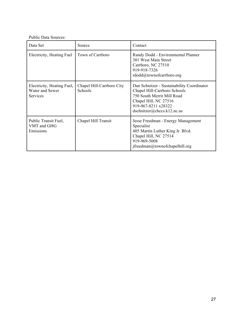Public Data Sources:

| Data Set                                                         | Source                               | Contact                                                                                                                                                                               |
|------------------------------------------------------------------|--------------------------------------|---------------------------------------------------------------------------------------------------------------------------------------------------------------------------------------|
| Electricity, Heating Fuel                                        | Town of Carrboro                     | Randy Dodd - Environmental Planner<br>301 West Main Street<br>Carrboro, NC 27510<br>919-918-7326<br>rdodd@townofcarrboro.org                                                          |
| Electricity, Heating Fuel,<br>Water and Sewer<br><b>Services</b> | Chapel Hill-Carrboro City<br>Schools | Dan Schnitzer - Sustainability Coordinator<br>Chapel Hill-Carrboro Schools<br>750 South Merrit Mill Road<br>Chapel Hill, NC 27516<br>919-967-8211 x28322<br>dschnitzer@chccs.k12nc.us |
| Public Transit Fuel,<br>VMT and GHG<br>Emissions                 | Chapel Hill Transit                  | Jesse Freedman - Energy Management<br>Specialist<br>405 Martin Luther King Jr. Blvd.<br>Chapel Hill, NC 27514<br>919-969-5008<br>$if \nreedman@to \n    wnot \n    chapelhill.org$    |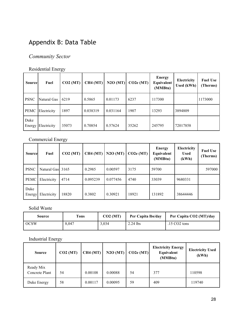# Appendix B: Data Table

## *Community Sector*

## Residential Energy

| <b>Source</b>  | Fuel        | CO2 (MT) | CH4(MT)  | N2O(MT)  | CO2e (MT) | <b>Energy</b><br>Equivalent<br>(MMBtu) | Electricity<br><b>Used</b> (kWh) | <b>Fuel Use</b><br>(Therms) |
|----------------|-------------|----------|----------|----------|-----------|----------------------------------------|----------------------------------|-----------------------------|
| <b>PSNC</b>    | Natural Gas | 6219     | 0.5865   | 0.01173  | 6237      | 117300                                 |                                  | 1173000                     |
| PEMC           | Electricity | 1897     | 0.038319 | 0.031164 | 1907      | 13293                                  | 3894809                          |                             |
| Duke<br>Energy | Electricity | 35073    | 0.70854  | 0.57624  | 35262     | 245795                                 | 72017858                         |                             |

## Commercial Energy

| <b>Source</b>  | Fuel             | CO2 (MT) | CH4 (MT) | N2O(MT)  | CO2e (MT) | <b>Energy</b><br>Equivalent<br>(MMBtu) | Electricity<br><b>Used</b><br>(kWh) | <b>Fuel Use</b><br>(Therms) |
|----------------|------------------|----------|----------|----------|-----------|----------------------------------------|-------------------------------------|-----------------------------|
| <b>PSNC</b>    | Natural Gas 3165 |          | 0.2985   | 0.00597  | 3175      | 59700                                  |                                     | 597000                      |
| <b>PEMC</b>    | Electricity      | 4714     | 0.095239 | 0.077456 | 4740      | 33039                                  | 9680331                             |                             |
| Duke<br>Energy | Electricity      | 18820    | 0.3802   | 0.30921  | 18921     | 131892                                 | 38644446                            |                             |

## Solid Waste

| Source      | l'ons | CO2 (MT) | Per Capita Ibs/day | Per Capita CO2 (MT)/day        |
|-------------|-------|----------|--------------------|--------------------------------|
| <b>OCSW</b> | 8,047 | 3,034    | 2.24 lbs           | $.15 \text{ CO}2 \text{ tons}$ |

## Industrial Energy

| <b>Source</b>               | CO2 (MT) | CH4 (MT) | N2O(MT) | CO2e (MT) | <b>Electricity Energy</b><br>Equivalent<br>(MMBtu) | <b>Electricity Used</b><br>(kWh) |
|-----------------------------|----------|----------|---------|-----------|----------------------------------------------------|----------------------------------|
| Ready Mix<br>Concrete Plant | 54       | 0.00108  | 0.00088 | 54        | 377                                                | 110598                           |
| Duke Energy                 | 58       | 0.00117  | 0.00095 | 59        | 409                                                | 119740                           |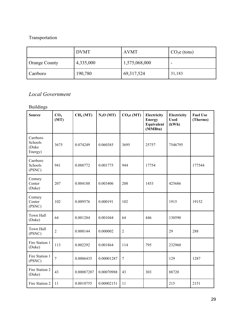## Transportation

|               | <b>DVMT</b> | <b>AVMT</b>   | $CO2e$ (tons) |
|---------------|-------------|---------------|---------------|
| Orange County | 4,335,000   | 1,575,068,000 |               |
| Carrboro      | 190,780     | 69, 317, 524  | 31,183        |

## *Local Government*

## Buildings

| <b>Source</b>                           | CO <sub>2</sub><br>(MT) | CH <sub>4</sub> (MT) | N <sub>2</sub> O(MT) | CO <sub>2</sub> e (MT) | Electricity<br><b>Energy</b><br>Equivalent<br>(MMBtu) | Electricity<br><b>Used</b><br>(kWh) | <b>Fuel Use</b><br>(Therms) |
|-----------------------------------------|-------------------------|----------------------|----------------------|------------------------|-------------------------------------------------------|-------------------------------------|-----------------------------|
| Carrboro<br>Schools<br>(Duke<br>Energy) | 3675                    | 0.074249             | 0.060385             | 3695                   | 25757                                                 | 7546795                             |                             |
| Carrboro<br>Schools<br>(PSNC)           | 941                     | 0.088772             | 0.001775             | 944                    | 17754                                                 |                                     | 177544                      |
| Century<br>Center<br>(Duke)             | 207                     | 0.004188             | 0.003406             | 208                    | 1453                                                  | 425686                              |                             |
| Century<br>Center<br>(PSNC)             | 102                     | 0.009576             | 0.000191             | 102                    |                                                       | 1915                                | 19152                       |
| Town Hall<br>(Duke)                     | 64                      | 0.001284             | 0.001044             | 64                     | 446                                                   | 130590                              |                             |
| <b>Town Hall</b><br>(PSNC)              | $\overline{2}$          | 0.000144             | 0.000002             | $\overline{2}$         |                                                       | 29                                  | 288                         |
| Fire Station 1<br>(Duke)                | 113                     | 0.002292             | 0.001864             | 114                    | 795                                                   | 232960                              |                             |
| Fire Station 1<br>(PSNC)                | $\overline{7}$          | 0.0006435            | 0.00001287           | 7                      |                                                       | 129                                 | 1287                        |
| Fire Station 2<br>(Duke)                | 43                      | 0.00087287           | 0.00070988           | 43                     | 303                                                   | 88720                               |                             |
| Fire Station 2                          | 11                      | 0.0010755            | 0.00002151           | 11                     |                                                       | 215                                 | 2151                        |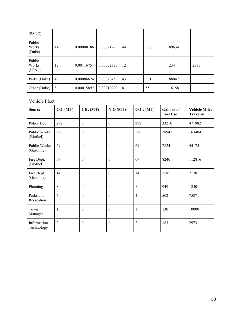| (PSNC)                    |    |            |            |    |     |       |      |
|---------------------------|----|------------|------------|----|-----|-------|------|
| Public<br>Works<br>(Duke) | 44 | 0.00088186 | 0.0007172  | 44 | 306 | 89634 |      |
| Public<br>Works<br>(PSNC) | 12 | 0.0011675  | 0.00002335 | 12 |     | 234   | 2335 |
| Parks (Duke)              | 43 | 0.00086624 | 0.0007045  | 43 | 301 | 88047 |      |
| Other (Duke)              | 8  | 0.00015897 | 0.00012929 | 8  | 55  | 16158 |      |

## Vehicle Fleet

| <b>Source</b>              | CO <sub>2</sub> (MT) | CH <sub>4</sub> (MT) | N <sub>2</sub> O(MT) | CO <sub>2</sub> e (MT) | <b>Gallons</b> of<br><b>Fuel Use</b> | <b>Vehicle Miles</b><br><b>Traveled</b> |
|----------------------------|----------------------|----------------------|----------------------|------------------------|--------------------------------------|-----------------------------------------|
| Police Dept.               | 292                  | $\theta$             | $\theta$             | 292                    | 33210                                | 471982                                  |
| Public Works<br>(Biofuel)  | 236                  | $\mathbf{0}$         | $\theta$             | 236                    | 28941                                | 163404                                  |
| Public Works<br>(Gasoline) | 69                   | $\mathbf{0}$         | $\mathbf{0}$         | 69                     | 7824                                 | 44175                                   |
| Fire Dept.<br>(Biofuel)    | 67                   | $\boldsymbol{0}$     | $\theta$             | 67                     | 8240                                 | 112816                                  |
| Fire Dept.<br>(Gasoline)   | 14                   | $\boldsymbol{0}$     | $\theta$             | 14                     | 1585                                 | 21701                                   |
| Planning                   | 8                    | $\theta$             | $\theta$             | 8                      | 949                                  | 12501                                   |
| Parks and<br>Recreation    | $\overline{4}$       | $\boldsymbol{0}$     | $\boldsymbol{0}$     | $\overline{4}$         | 502                                  | 7587                                    |
| Town<br>Manager            | 1                    | $\theta$             | $\boldsymbol{0}$     | 1                      | 130                                  | 10000                                   |
| Information<br>Technology  | $\overline{2}$       | $\boldsymbol{0}$     | $\theta$             | $\overline{2}$         | 183                                  | 2973                                    |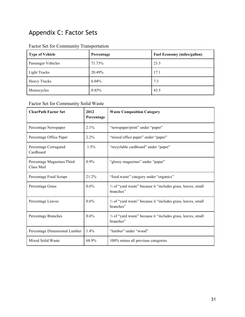# Appendix C: Factor Sets

| <b>Type of Vehicle</b> | Percentage | <b>Fuel Economy (miles/gallon)</b> |
|------------------------|------------|------------------------------------|
| Passenger Vehicles     | 71.73%     | 23.3                               |
| Light Trucks           | 20.49%     | 17.1                               |
| <b>Heavy Trucks</b>    | $6.04\%$   | 7.3                                |
| Motorcycles            | 0.85%      | 43.5                               |

## Factor Set for Community Transportation

## Factor Set for Community Solid Waste

| <b>ClearPath Factor Set</b>              | 2012<br>Percentage | <b>Waste Composition Category</b>                                          |
|------------------------------------------|--------------------|----------------------------------------------------------------------------|
| Percentage Newspaper                     | $2.1\%$            | "newspaper/print" under "paper"                                            |
| Percentage Office Paper                  | 2.2%               | "mixed office paper" under "paper"                                         |
| Percentage Corrugated<br>Cardboard       | 1.5%               | "recyclable cardboard" under "paper"                                       |
| Percentage Magazines/Third<br>Class Mail | $0.9\%$            | "glossy magazines" under "paper"                                           |
| Percentage Food Scraps                   | 21.2%              | "food waste" category under "organics"                                     |
| Percentage Grass                         | 0.6%               | 1/3 of "yard waste" because it "includes grass, leaves, small<br>branches" |
| Percentage Leaves                        | 0.6%               | 1/3 of "yard waste" because it "includes grass, leaves, small<br>branches" |
| Percentage Branches                      | 0.6%               | 1/3 of "yard waste" because it "includes grass, leaves, small<br>branches" |
| Percentage Dimensional Lumber            | 1.4%               | "lumber" under "wood"                                                      |
| Mixed Solid Waste                        | 68.9%              | 100% minus all previous categories                                         |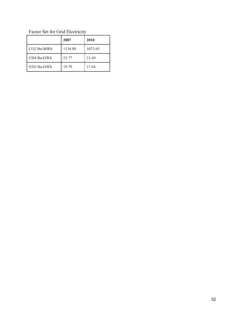Factor Set for Grid Electricity

|                         | 2007    | 2010    |
|-------------------------|---------|---------|
| CO <sub>2</sub> lbs/MWh | 1134.88 | 1073.65 |
| CH4 lbs/GWh             | 23.77   | 21.69   |
| $N2O$ lbs/GWh           | 19.79   | 17.64   |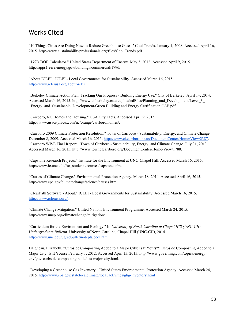## Works Cited

"10 Things Cities Are Doing Now to Reduce Greenhouse Gases." Cool Trends. January 1, 2008. Accessed April 16, 2015. http://www.sustainabilityprofessionals.org/files/Cool Trends.pdf.

"179D DOE Calculator." United States Department of Energy. May 3, 2012. Accessed April 9, 2015. http://apps1.eere.energy.gov/buildings/commercial/179d/

"About ICLEI." ICLEI - Local Governments for Sustainability. Accessed March 16, 2015. http://www.icleiusa.org/about-iclei.

"Berkeley Climate Action Plan: Tracking Our Progress - Building Energy Use." City of Berkeley. April 14, 2014. Accessed March 16, 2015. http://www.ci.berkeley.ca.us/uploadedFiles/Planning\_and\_Development/Level\_3\_-Energy\_and\_Sustainable\_Development/Green Building and Energy Certification CAP.pdf.

"Carrboro, NC Homes and Housing." USA City Facts. Accessed April 9, 2015. http://www.usacityfacts.com/nc/orange/carrboro/homes/.

"Carrboro 2009 Climate Protection Resolution." Town of Carrboro - Sustainability, Energy, and Climate Change. December 8, 2009. Accessed March 16, 2015. http://www.ci.carrboro.nc.us/DocumentCenter/Home/View/2387. "Carrboro WISE Final Report." Town of Carrboro - Sustainability, Energy, and Climate Change. July 31, 2013. Accessed March 16, 2015. http://www.townofcarrboro.org/DocumentCenter/Home/View/1788.

"Capstone Research Projects." Institute for the Environment at UNC-Chapel Hill. Accessed March 16, 2015. http://www.ie.unc.edu/for\_students/courses/capstone.cfm.

"Causes of Climate Change." Environmental Protection Agency. March 18, 2014. Accessed April 16, 2015. http://www.epa.gov/climatechange/science/causes.html.

"ClearPath Software - About." ICLEI - Local Governments for Sustainability. Accessed March 16, 2015. http://www.icleiusa.org/.

"Climate Change Mitigation." United Nations Environment Programme. Accessed March 24, 2015. http://www.unep.org/climatechange/mitigation/

"Curriculum for the Environment and Ecology." In *University of North Carolina at Chapel Hill (UNC-CH) Undergraduate Bulletin*. University of North Carolina, Chapel Hill (UNC-CH), 2014. http://www.unc.edu/ugradbulletin/depts/ecol.html

Daigneau, Elizabeth. "Curbside Composting Added to a Major City: Is It Yours?" Curbside Composting Added to a Major City: Is It Yours? February 1, 2012. Accessed April 15, 2015. http://www.governing.com/topics/energyenv/gov-curbside-composting-added-to-major-city.html.

"Developing a Greenhouse Gas Inventory." United States Environmental Protection Agency. Accessed March 24, 2015. http://www.epa.gov/statelocalclimate/local/activities/ghg-inventory.html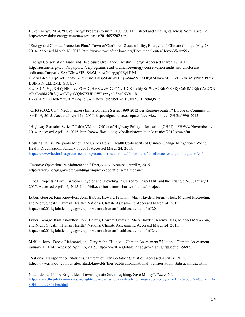Duke Energy. 2014. "Duke Energy Progress to install 100,000 LED street and area lights across North Carolina." http://www.duke-energy.com/news/releases/2014092202.asp

"Energy and Climate Protection Plan." Town of Carrboro - Sustainability, Energy, and Climate Change. May 28, 2014. Accessed March 16, 2015. http://www.townofcarrboro.org/DocumentCenter/Home/View/553.

"Energy Conservation Audit and Disclosure Ordinance." Austin Energy. Accessed March 18, 2015. http://austinenergy.com/wps/portal/ae/programs/ecad-ordinance/energy-conservation-audit-and-disclosureordinance/!ut/p/a1/jZAxT8MwFIR\_S4eMjo0rwGUzpgqhlEykIUvlJq-OpdSObKcR\_HpSWChqoW876bt7usMlLnBp5F4rGbQ1sj3o8mZNKKOPgtA0uaWM8ETcL67zl6sZIyPw9hPI5tk DSfMs59lCkERML\_SfOU7- 8z9d8IC6pVgqXHYyNEibrcUFGHDqHVXWeHD7r7ZI9rUOSJoa1dpXrfW9A2RdrY00FRyCuNlM2RjkYAsOXN y7caEmhM7fRSQiwzDEylrVQlzZXUROWRrrAy6OSbzC5V81-Jz-Bk7s\_A2cH7LbvRYfz7BiYZZqPpl8AjKatdw!/dl5/d5/L2dBISEvZ0FBIS9nQSEh/.

"GHG (CO2, CH4, N2O, F-gases) Emission Time Series 1990-2012 per Region/country." European Commission. April 16, 2015. Accessed April 16, 2015. http://edgar.jrc.ec.europa.eu/overview.php?v=GHGts1990-2012.

"Highway Statistics Series." Table VM-4 – Office of Highway Policy Information (OHPI) – FHWA. November 1, 2014. Accessed April 16, 2015. http://www.fhwa.dot.gov/policyinformation/statistics/2013/vm4.cfm.

Hosking, Jamie, Pierpaolo Mudu, and Carlos Dora. "Health Co-benefits of Climate Change Mitigation." World Health Organization. January 1, 2011. Accessed March 24, 2015. http://www.who.int/hia/green\_economy/transport\_sector\_health\_co-benefits\_climate\_change\_mitigation/en/

"Improve Operations & Maintenance." Energy.gov. Accessed April 9, 2015. http://www.energy.gov/eere/buildings/improve-operations-maintenance

"Local Projects." Bike Carrboro Bicycles and Bicycling in Carrboro Chapel Hill and the Triangle NC. January 1, 2015. Accessed April 16, 2015. http://bikecarrboro.com/what-we-do/local-projects.

Luber, George, Kim Knowlton, John Balbus, Howard Frumkin, Mary Hayden, Jeremy Hess, Michael McGeehin, and Nicky Sheats. "Human Health." National Climate Assessment. Accessed March 24, 2015. http://nca2014.globalchange.gov/report/sectors/human-health#statement-16520

Luber, George, Kim Knowlton, John Balbus, Howard Frumkin, Mary Hayden, Jeremy Hess, Michael McGeehin, and Nicky Sheats. "Human Health." National Climate Assessment. Accessed March 24, 2015. http://nca2014.globalchange.gov/report/sectors/human-health#statement-16524.

Melillo, Jerry, Terese Richmond, and Gary Yohe. "National Climate Assessment." National Climate Assessment. January 1, 2014. Accessed April 16, 2015. http://nca2014.globalchange.gov/highlights#section-5682.

"National Transportation Statistics." Bureau of Transportation Statistics. Accessed April 16, 2015. http://www.rita.dot.gov/bts/sites/rita.dot.gov.bts/files/publications/national\_transportation\_statistics/index.html.

Natt, T.M. 2015. "A Bright Idea: Towns Update Street Lighting, Save Money". *The Pilot*. http://www.thepilot.com/news/a-bright-idea-towns-update-street-lighting-save-money/article\_9696c852-95c3-11e4- 80f4-dfa02784e1ee.html